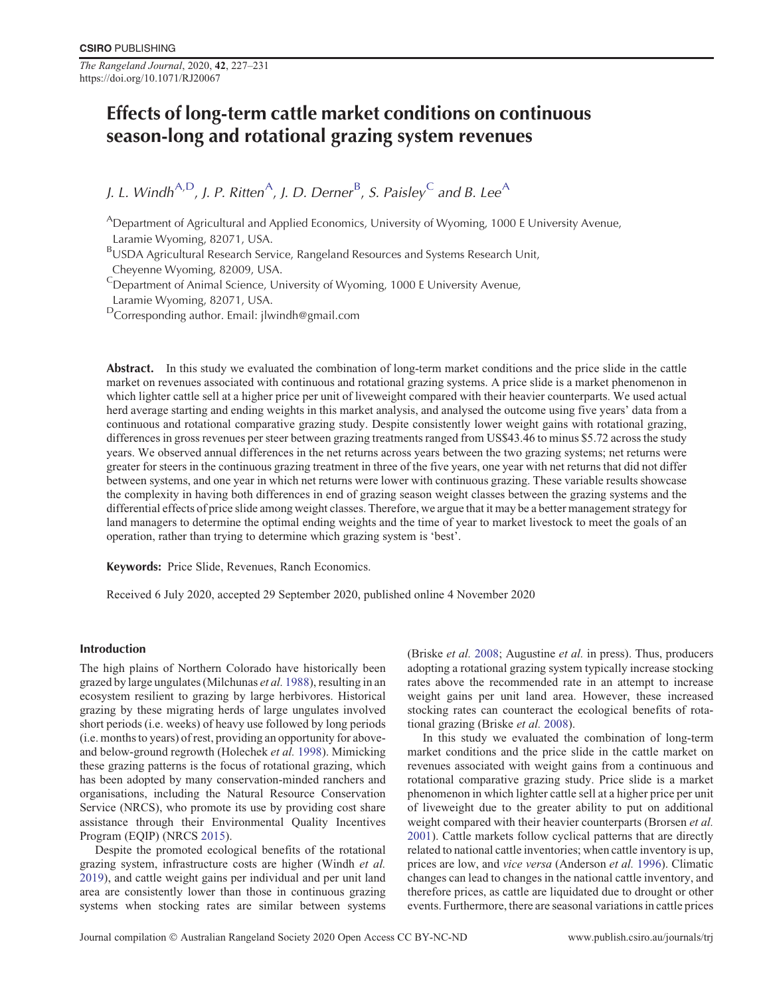*The Rangeland Journal*, 2020, **42**, 227–231 https://doi.org/10.1071/RJ20067

# Effects of long-term cattle market conditions on continuous season-long and rotational grazing system revenues

J. L. Windh<sup>A,D</sup>, J. P. Ritten<sup>A</sup>, J. D. Derner<sup>B</sup>, S. Paisley<sup>C</sup> and B. Lee<sup>A</sup>

ADepartment of Agricultural and Applied Economics, University of Wyoming, 1000 E University Avenue, Laramie Wyoming, 82071, USA.

BUSDA Agricultural Research Service, Rangeland Resources and Systems Research Unit, Cheyenne Wyoming, 82009, USA.

 $\text{C}$ Department of Animal Science, University of Wyoming, 1000 E University Avenue,

Laramie Wyoming, 82071, USA.

<sup>D</sup>Corresponding author. Email: jlwindh@gmail.com

Abstract. In this study we evaluated the combination of long-term market conditions and the price slide in the cattle market on revenues associated with continuous and rotational grazing systems. A price slide is a market phenomenon in which lighter cattle sell at a higher price per unit of liveweight compared with their heavier counterparts. We used actual herd average starting and ending weights in this market analysis, and analysed the outcome using five years' data from a continuous and rotational comparative grazing study. Despite consistently lower weight gains with rotational grazing, differences in gross revenues per steer between grazing treatments ranged from US\$43.46 to minus \$5.72 across the study years. We observed annual differences in the net returns across years between the two grazing systems; net returns were greater for steers in the continuous grazing treatment in three of the five years, one year with net returns that did not differ between systems, and one year in which net returns were lower with continuous grazing. These variable results showcase the complexity in having both differences in end of grazing season weight classes between the grazing systems and the differential effects of price slide among weight classes. Therefore, we argue that it may be a better management strategy for land managers to determine the optimal ending weights and the time of year to market livestock to meet the goals of an operation, rather than trying to determine which grazing system is 'best'.

Keywords: Price Slide, Revenues, Ranch Economics.

Received 6 July 2020, accepted 29 September 2020, published online 4 November 2020

# Introduction

The high plains of Northern Colorado have historically been grazed by large ungulates (Milchunas *et al.* [1988](#page-4-0)), resulting in an ecosystem resilient to grazing by large herbivores. Historical grazing by these migrating herds of large ungulates involved short periods (i.e. weeks) of heavy use followed by long periods (i.e. months to years) of rest, providing an opportunity for aboveand below-ground regrowth (Holechek *et al.* [1998\)](#page-4-0). Mimicking these grazing patterns is the focus of rotational grazing, which has been adopted by many conservation-minded ranchers and organisations, including the Natural Resource Conservation Service (NRCS), who promote its use by providing cost share assistance through their Environmental Quality Incentives Program (EQIP) (NRCS [2015](#page-4-0)).

Despite the promoted ecological benefits of the rotational grazing system, infrastructure costs are higher (Windh *et al.* [2019](#page-4-0)), and cattle weight gains per individual and per unit land area are consistently lower than those in continuous grazing systems when stocking rates are similar between systems (Briske *et al.* [2008](#page-4-0); Augustine *et al.* in press). Thus, producers adopting a rotational grazing system typically increase stocking rates above the recommended rate in an attempt to increase weight gains per unit land area. However, these increased stocking rates can counteract the ecological benefits of rotational grazing (Briske *et al.* [2008\)](#page-4-0).

In this study we evaluated the combination of long-term market conditions and the price slide in the cattle market on revenues associated with weight gains from a continuous and rotational comparative grazing study. Price slide is a market phenomenon in which lighter cattle sell at a higher price per unit of liveweight due to the greater ability to put on additional weight compared with their heavier counterparts (Brorsen *et al.* [2001\)](#page-4-0). Cattle markets follow cyclical patterns that are directly related to national cattle inventories; when cattle inventory is up, prices are low, and *vice versa* (Anderson *et al.* [1996\)](#page-4-0). Climatic changes can lead to changes in the national cattle inventory, and therefore prices, as cattle are liquidated due to drought or other events. Furthermore, there are seasonal variations in cattle prices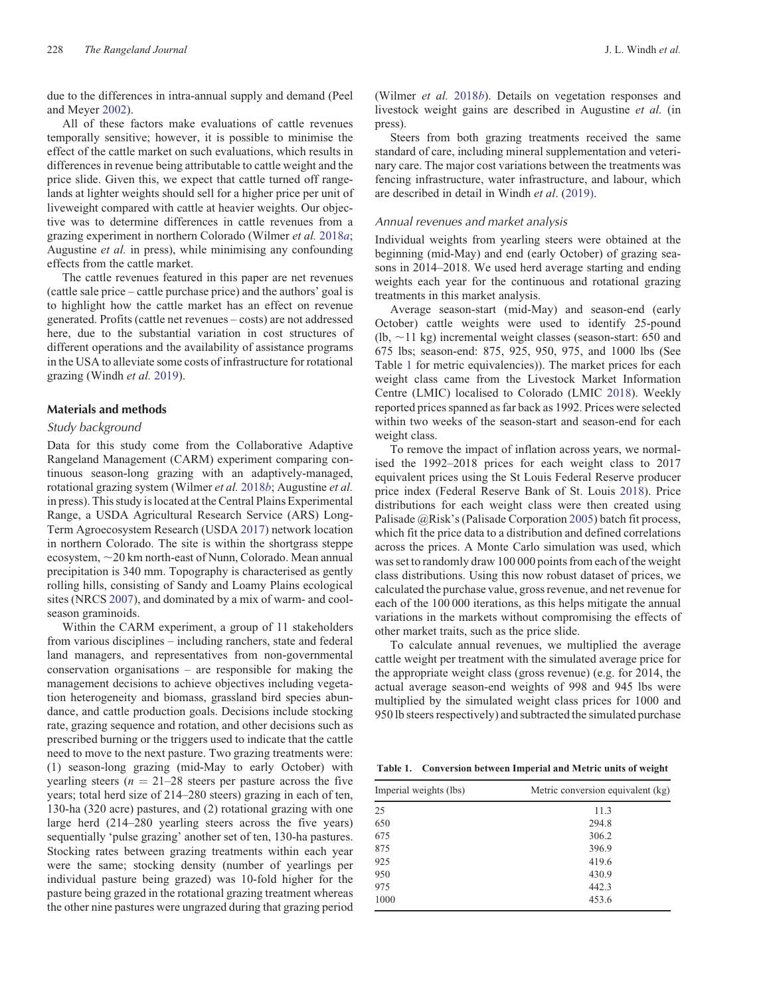due to the differences in intra-annual supply and demand (Peel and Meyer [2002](#page-4-0)).

All of these factors make evaluations of cattle revenues temporally sensitive; however, it is possible to minimise the effect of the cattle market on such evaluations, which results in differences in revenue being attributable to cattle weight and the price slide. Given this, we expect that cattle turned off rangelands at lighter weights should sell for a higher price per unit of liveweight compared with cattle at heavier weights. Our objective was to determine differences in cattle revenues from a grazing experiment in northern Colorado (Wilmer *et al.* [2018](#page-4-0)*a*; Augustine *et al.* in press), while minimising any confounding effects from the cattle market.

The cattle revenues featured in this paper are net revenues (cattle sale price – cattle purchase price) and the authors' goal is to highlight how the cattle market has an effect on revenue generated. Profits (cattle net revenues – costs) are not addressed here, due to the substantial variation in cost structures of different operations and the availability of assistance programs in the USA to alleviate some costs of infrastructure for rotational grazing (Windh *et al.* [2019\)](#page-4-0).

# Materials and methods

#### Study background

Data for this study come from the Collaborative Adaptive Rangeland Management (CARM) experiment comparing continuous season-long grazing with an adaptively-managed, rotational grazing system (Wilmer *et al.* [2018](#page-4-0)*b*; Augustine *et al.* in press). This study is located at the Central Plains Experimental Range, a USDA Agricultural Research Service (ARS) Long-Term Agroecosystem Research (USDA [2017](#page-4-0)) network location in northern Colorado. The site is within the shortgrass steppe ecosystem,  $\sim$  20 km north-east of Nunn, Colorado. Mean annual precipitation is 340 mm. Topography is characterised as gently rolling hills, consisting of Sandy and Loamy Plains ecological sites (NRCS [2007](#page-4-0)), and dominated by a mix of warm- and coolseason graminoids.

Within the CARM experiment, a group of 11 stakeholders from various disciplines – including ranchers, state and federal land managers, and representatives from non-governmental conservation organisations – are responsible for making the management decisions to achieve objectives including vegetation heterogeneity and biomass, grassland bird species abundance, and cattle production goals. Decisions include stocking rate, grazing sequence and rotation, and other decisions such as prescribed burning or the triggers used to indicate that the cattle need to move to the next pasture. Two grazing treatments were: (1) season-long grazing (mid-May to early October) with yearling steers ( $n = 21-28$  steers per pasture across the five years; total herd size of 214–280 steers) grazing in each of ten, 130-ha (320 acre) pastures, and (2) rotational grazing with one large herd (214–280 yearling steers across the five years) sequentially 'pulse grazing' another set of ten, 130-ha pastures. Stocking rates between grazing treatments within each year were the same; stocking density (number of yearlings per individual pasture being grazed) was 10-fold higher for the pasture being grazed in the rotational grazing treatment whereas the other nine pastures were ungrazed during that grazing period (Wilmer *et al.* [2018](#page-4-0)*b*). Details on vegetation responses and livestock weight gains are described in Augustine *et al.* (in press).

Steers from both grazing treatments received the same standard of care, including mineral supplementation and veterinary care. The major cost variations between the treatments was fencing infrastructure, water infrastructure, and labour, which are described in detail in Windh *et al*. ([2019\).](#page-4-0)

## Annual revenues and market analysis

Individual weights from yearling steers were obtained at the beginning (mid-May) and end (early October) of grazing seasons in 2014–2018. We used herd average starting and ending weights each year for the continuous and rotational grazing treatments in this market analysis.

Average season-start (mid-May) and season-end (early October) cattle weights were used to identify 25-pound (lb,  $\sim$ 11 kg) incremental weight classes (season-start: 650 and 675 lbs; season-end: 875, 925, 950, 975, and 1000 lbs (See Table 1 for metric equivalencies)). The market prices for each weight class came from the Livestock Market Information Centre (LMIC) localised to Colorado (LMIC [2018\)](#page-4-0). Weekly reported prices spanned as far back as 1992. Prices were selected within two weeks of the season-start and season-end for each weight class.

To remove the impact of inflation across years, we normalised the 1992–2018 prices for each weight class to 2017 equivalent prices using the St Louis Federal Reserve producer price index (Federal Reserve Bank of St. Louis [2018](#page-4-0)). Price distributions for each weight class were then created using Palisade @Risk's (Palisade Corporation [2005\)](#page-4-0) batch fit process, which fit the price data to a distribution and defined correlations across the prices. A Monte Carlo simulation was used, which was set to randomly draw 100 000 points from each of the weight class distributions. Using this now robust dataset of prices, we calculated the purchase value, gross revenue, and net revenue for each of the 100 000 iterations, as this helps mitigate the annual variations in the markets without compromising the effects of other market traits, such as the price slide.

To calculate annual revenues, we multiplied the average cattle weight per treatment with the simulated average price for the appropriate weight class (gross revenue) (e.g. for 2014, the actual average season-end weights of 998 and 945 lbs were multiplied by the simulated weight class prices for 1000 and 950 lb steers respectively) and subtracted the simulated purchase

**Table 1. Conversion between Imperial and Metric units of weight**

| Imperial weights (lbs) | Metric conversion equivalent (kg) |  |  |  |  |
|------------------------|-----------------------------------|--|--|--|--|
| 25                     | 11.3                              |  |  |  |  |
| 650                    | 294.8                             |  |  |  |  |
| 675                    | 306.2                             |  |  |  |  |
| 875                    | 396.9                             |  |  |  |  |
| 925                    | 419.6                             |  |  |  |  |
| 950                    | 430.9                             |  |  |  |  |
| 975                    | 442.3                             |  |  |  |  |
| 1000                   | 453.6                             |  |  |  |  |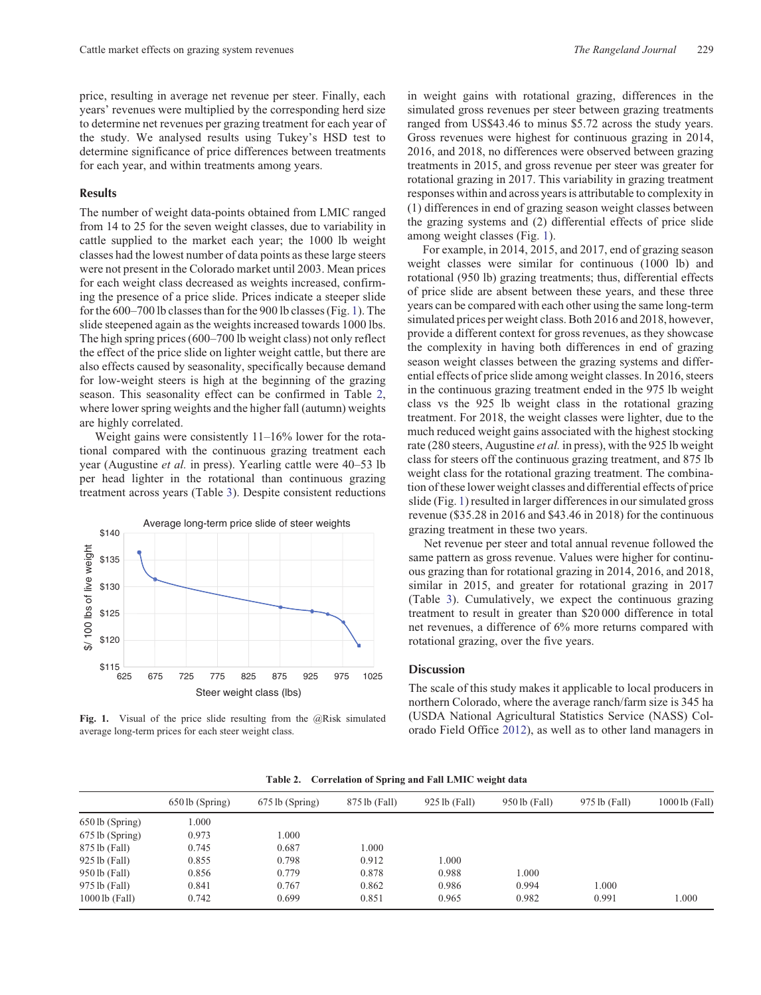<span id="page-2-0"></span>price, resulting in average net revenue per steer. Finally, each years' revenues were multiplied by the corresponding herd size to determine net revenues per grazing treatment for each year of the study. We analysed results using Tukey's HSD test to determine significance of price differences between treatments for each year, and within treatments among years.

## Results

The number of weight data-points obtained from LMIC ranged from 14 to 25 for the seven weight classes, due to variability in cattle supplied to the market each year; the 1000 lb weight classes had the lowest number of data points as these large steers were not present in the Colorado market until 2003. Mean prices for each weight class decreased as weights increased, confirming the presence of a price slide. Prices indicate a steeper slide for the 600–700 lb classes than for the 900 lb classes (Fig. 1). The slide steepened again as the weights increased towards 1000 lbs. The high spring prices (600–700 lb weight class) not only reflect the effect of the price slide on lighter weight cattle, but there are also effects caused by seasonality, specifically because demand for low-weight steers is high at the beginning of the grazing season. This seasonality effect can be confirmed in Table 2, where lower spring weights and the higher fall (autumn) weights are highly correlated.

Weight gains were consistently 11–16% lower for the rotational compared with the continuous grazing treatment each year (Augustine *et al.* in press). Yearling cattle were 40–53 lb per head lighter in the rotational than continuous grazing treatment across years (Table [3](#page-3-0)). Despite consistent reductions



Fig. 1. Visual of the price slide resulting from the @Risk simulated average long-term prices for each steer weight class.

in weight gains with rotational grazing, differences in the simulated gross revenues per steer between grazing treatments ranged from US\$43.46 to minus \$5.72 across the study years. Gross revenues were highest for continuous grazing in 2014, 2016, and 2018, no differences were observed between grazing treatments in 2015, and gross revenue per steer was greater for rotational grazing in 2017. This variability in grazing treatment responses within and across years is attributable to complexity in (1) differences in end of grazing season weight classes between the grazing systems and (2) differential effects of price slide among weight classes (Fig. 1).

For example, in 2014, 2015, and 2017, end of grazing season weight classes were similar for continuous (1000 lb) and rotational (950 lb) grazing treatments; thus, differential effects of price slide are absent between these years, and these three years can be compared with each other using the same long-term simulated prices per weight class. Both 2016 and 2018, however, provide a different context for gross revenues, as they showcase the complexity in having both differences in end of grazing season weight classes between the grazing systems and differential effects of price slide among weight classes. In 2016, steers in the continuous grazing treatment ended in the 975 lb weight class vs the 925 lb weight class in the rotational grazing treatment. For 2018, the weight classes were lighter, due to the much reduced weight gains associated with the highest stocking rate (280 steers, Augustine *et al.* in press), with the 925 lb weight class for steers off the continuous grazing treatment, and 875 lb weight class for the rotational grazing treatment. The combination of these lower weight classes and differential effects of price slide (Fig. 1) resulted in larger differences in our simulated gross revenue (\$35.28 in 2016 and \$43.46 in 2018) for the continuous grazing treatment in these two years.

Net revenue per steer and total annual revenue followed the same pattern as gross revenue. Values were higher for continuous grazing than for rotational grazing in 2014, 2016, and 2018, similar in 2015, and greater for rotational grazing in 2017 (Table [3\)](#page-3-0). Cumulatively, we expect the continuous grazing treatment to result in greater than \$20 000 difference in total net revenues, a difference of 6% more returns compared with rotational grazing, over the five years.

#### **Discussion**

The scale of this study makes it applicable to local producers in northern Colorado, where the average ranch/farm size is 345 ha (USDA National Agricultural Statistics Service (NASS) Colorado Field Office [2012](#page-4-0)), as well as to other land managers in

|                  | 650 lb (Spring) | 675 lb (Spring) | 875 lb (Fall) | $925$ lb (Fall) | 950 lb (Fall) | 975 lb (Fall) | 1000 lb (Fall) |
|------------------|-----------------|-----------------|---------------|-----------------|---------------|---------------|----------------|
| 650 lb (Spring)  | 000.1           |                 |               |                 |               |               |                |
| 675 lb (Spring)  | 0.973           | 1.000           |               |                 |               |               |                |
| 875 lb (Fall)    | 0.745           | 0.687           | 1.000         |                 |               |               |                |
| 925 lb (Fall)    | 0.855           | 0.798           | 0.912         | 000.1           |               |               |                |
| 950 lb (Fall)    | 0.856           | 0.779           | 0.878         | 0.988           | 1.000         |               |                |
| 975 lb (Fall)    | 0.841           | 0.767           | 0.862         | 0.986           | 0.994         | 1.000         |                |
| $1000$ lb (Fall) | 0.742           | 0.699           | 0.851         | 0.965           | 0.982         | 0.991         | 1.000          |
|                  |                 |                 |               |                 |               |               |                |

**Table 2. Correlation of Spring and Fall LMIC weight data**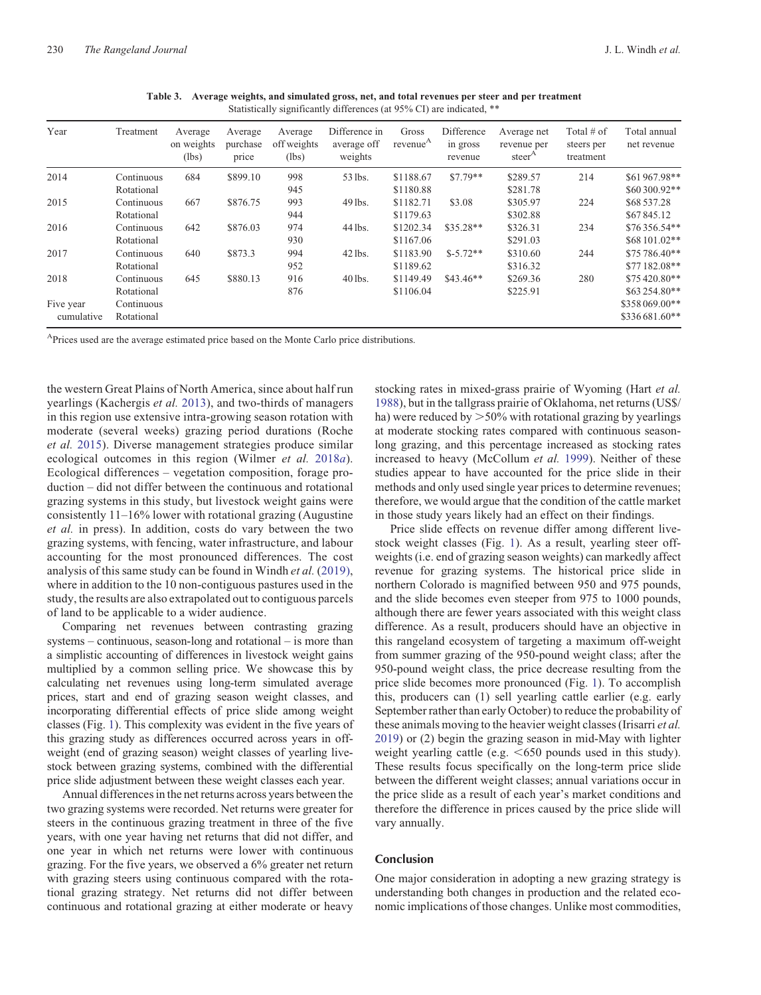<span id="page-3-0"></span>

| Year                    | Treatment                | Average<br>on weights<br>(lbs) | Average<br>purchase<br>price | Average<br>off weights<br>(lbs) | Difference in<br>average off<br>weights | Gross<br>revenue <sup>A</sup> | Difference<br>in gross<br>revenue | Average net<br>revenue per<br>steer <sup>A</sup> | Total $#$ of<br>steers per<br>treatment | Total annual<br>net revenue     |
|-------------------------|--------------------------|--------------------------------|------------------------------|---------------------------------|-----------------------------------------|-------------------------------|-----------------------------------|--------------------------------------------------|-----------------------------------------|---------------------------------|
| 2014                    | Continuous<br>Rotational | 684                            | \$899.10                     | 998<br>945                      | 53 lbs.                                 | \$1188.67<br>\$1180.88        | $$7.79**$                         | \$289.57<br>\$281.78                             | 214                                     | \$61967.98**<br>\$60300.92**    |
| 2015                    | Continuous<br>Rotational | 667                            | \$876.75                     | 993<br>944                      | 49 lbs.                                 | \$1182.71<br>\$1179.63        | \$3.08                            | \$305.97<br>\$302.88                             | 224                                     | \$68 537.28<br>\$67845.12       |
| 2016                    | Continuous<br>Rotational | 642                            | \$876.03                     | 974<br>930                      | 44 lbs.                                 | \$1202.34<br>\$1167.06        | $$35.28**$                        | \$326.31<br>\$291.03                             | 234                                     | $$76356.54**$<br>\$68 101.02**  |
| 2017                    | Continuous<br>Rotational | 640                            | \$873.3                      | 994<br>952                      | 42 lbs.                                 | \$1183.90<br>\$1189.62        | $$-5.72**$                        | \$310.60<br>\$316.32                             | 244                                     | $$75786.40**$<br>\$77182.08**   |
| 2018                    | Continuous<br>Rotational | 645                            | \$880.13                     | 916<br>876                      | 40 lbs.                                 | \$1149.49<br>\$1106.04        | $$43.46**$                        | \$269.36<br>\$225.91                             | 280                                     | $$75420.80**$<br>\$63254.80**   |
| Five year<br>cumulative | Continuous<br>Rotational |                                |                              |                                 |                                         |                               |                                   |                                                  |                                         | \$358 069,00**<br>\$336681.60** |

**Table 3. Average weights, and simulated gross, net, and total revenues per steer and per treatment** Statistically significantly differences (at 95% CI) are indicated, \*\*

<sup>A</sup>Prices used are the average estimated price based on the Monte Carlo price distributions.

the western Great Plains of North America, since about half run yearlings (Kachergis *et al.* [2013\)](#page-4-0), and two-thirds of managers in this region use extensive intra-growing season rotation with moderate (several weeks) grazing period durations (Roche *et al.* [2015\)](#page-4-0). Diverse management strategies produce similar ecological outcomes in this region (Wilmer *et al.* [2018](#page-4-0)*a*). Ecological differences – vegetation composition, forage production – did not differ between the continuous and rotational grazing systems in this study, but livestock weight gains were consistently 11–16% lower with rotational grazing (Augustine *et al.* in press). In addition, costs do vary between the two grazing systems, with fencing, water infrastructure, and labour accounting for the most pronounced differences. The cost analysis of this same study can be found in Windh *et al.* [\(2019\),](#page-4-0) where in addition to the 10 non-contiguous pastures used in the study, the results are also extrapolated out to contiguous parcels of land to be applicable to a wider audience.

Comparing net revenues between contrasting grazing systems – continuous, season-long and rotational – is more than a simplistic accounting of differences in livestock weight gains multiplied by a common selling price. We showcase this by calculating net revenues using long-term simulated average prices, start and end of grazing season weight classes, and incorporating differential effects of price slide among weight classes (Fig. [1\)](#page-2-0). This complexity was evident in the five years of this grazing study as differences occurred across years in offweight (end of grazing season) weight classes of yearling livestock between grazing systems, combined with the differential price slide adjustment between these weight classes each year.

Annual differences in the net returns across years between the two grazing systems were recorded. Net returns were greater for steers in the continuous grazing treatment in three of the five years, with one year having net returns that did not differ, and one year in which net returns were lower with continuous grazing. For the five years, we observed a 6% greater net return with grazing steers using continuous compared with the rotational grazing strategy. Net returns did not differ between continuous and rotational grazing at either moderate or heavy

stocking rates in mixed-grass prairie of Wyoming (Hart *et al.* [1988](#page-4-0)), but in the tallgrass prairie of Oklahoma, net returns (US\$/ ha) were reduced by  $>50\%$  with rotational grazing by yearlings at moderate stocking rates compared with continuous seasonlong grazing, and this percentage increased as stocking rates increased to heavy (McCollum *et al.* [1999\)](#page-4-0). Neither of these studies appear to have accounted for the price slide in their methods and only used single year prices to determine revenues; therefore, we would argue that the condition of the cattle market in those study years likely had an effect on their findings.

Price slide effects on revenue differ among different livestock weight classes (Fig. [1](#page-2-0)). As a result, yearling steer offweights (i.e. end of grazing season weights) can markedly affect revenue for grazing systems. The historical price slide in northern Colorado is magnified between 950 and 975 pounds, and the slide becomes even steeper from 975 to 1000 pounds, although there are fewer years associated with this weight class difference. As a result, producers should have an objective in this rangeland ecosystem of targeting a maximum off-weight from summer grazing of the 950-pound weight class; after the 950-pound weight class, the price decrease resulting from the price slide becomes more pronounced (Fig. [1\)](#page-2-0). To accomplish this, producers can (1) sell yearling cattle earlier (e.g. early September rather than early October) to reduce the probability of these animals moving to the heavier weight classes (Irisarri *et al.* [2019](#page-4-0)) or (2) begin the grazing season in mid-May with lighter weight yearling cattle (e.g.  $<650$  pounds used in this study). These results focus specifically on the long-term price slide between the different weight classes; annual variations occur in the price slide as a result of each year's market conditions and therefore the difference in prices caused by the price slide will vary annually.

# Conclusion

One major consideration in adopting a new grazing strategy is understanding both changes in production and the related economic implications of those changes. Unlike most commodities,